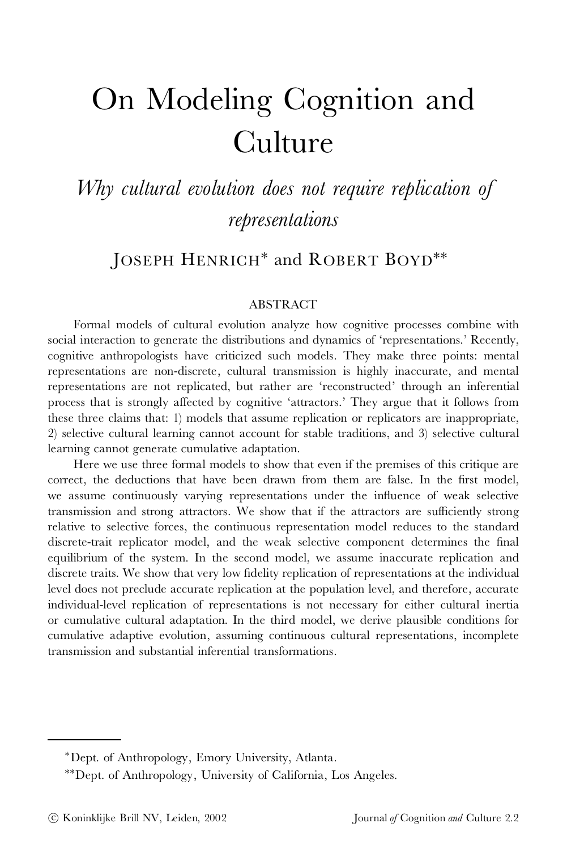# On Modeling Cognition and Culture

*Why cultural evolution does not require replication of representations*

JOSEPH HENRICH<sup>\*</sup> and ROBERT BOYD<sup>\*\*</sup>

#### ABSTRACT

Formal models of cultural evolution analyze how cognitive processes combine with social interaction to generate the distributions and dynamics of 'representations.' Recently, cognitive anthropologists have criticized such models. They make three points: mental representations are non-discrete, cultural transmission is highly inaccurate, and mental representations are not replicated, but rather are 'reconstructed' through an inferential process that is strongly affected by cognitive 'attractors.' They argue that it follows from these three claims that: 1) models that assume replication or replicators are inappropriate, 2) selective cultural learning cannot account for stable traditions, and 3) selective cultural learning cannot generate cumulative adaptation.

Here we use three formal models to show that even if the premises of this critique are correct, the deductions that have been drawn from them are false. In the first model, we assume continuously varying representations under the influence of weak selective transmission and strong attractors. We show that if the attractors are sufficiently strong relative to selective forces, the continuous representation model reduces to the standard discrete-trait replicator model, and the weak selective component determines the final equilibrium of the system. In the second model, we assume inaccurate replication and discrete traits. We show that very low fidelity replication of representations at the individual level does not preclude accurate replication at the population level, and therefore, accurate individual-level replication of representations is not necessary for either cultural inertia or cumulative cultural adaptation. In the third model, we derive plausible conditions for cumulative adaptive evolution, assuming continuous cultural representations, incomplete transmission and substantial inferential transformations.

<sup>¤</sup>Dept. of Anthropology, Emory University, Atlanta.

<sup>¤¤</sup>Dept. of Anthropology, University of California, Los Angeles.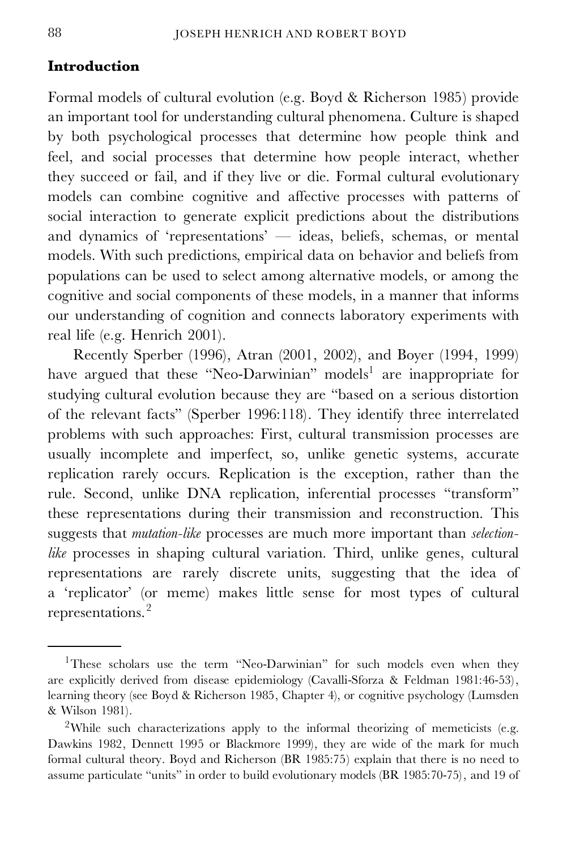# **Introduction**

Formal models of cultural evolution (e.g. Boyd & Richerson 1985) provide an important tool for understanding cultural phenomena. Culture is shaped by both psychological processes that determine how people think and feel, and social processes that determine how people interact, whether they succeed or fail, and if they live or die. Formal cultural evolutionary models can combine cognitive and affective processes with patterns of social interaction to generate explicit predictions about the distributions and dynamics of 'representations' — ideas, beliefs, schemas, or mental models. With such predictions, empirical data on behavior and beliefs from populations can be used to select among alternative models, or among the cognitive and social components of these models, in a manner that informs our understanding of cognition and connects laboratory experiments with real life (e.g. Henrich 2001).

Recently Sperber (1996), Atran (2001, 2002), and Boyer (1994, 1999) have argued that these "Neo-Darwinian" models<sup>1</sup> are inappropriate for studying cultural evolution because they are "based on a serious distortion of the relevant facts" (Sperber 1996:118). They identify three interrelated problems with such approaches: First, cultural transmission processes are usually incomplete and imperfect, so, unlike genetic systems, accurate replication rarely occurs. Replication is the exception, rather than the rule. Second, unlike DNA replication, inferential processes "transform" these representations during their transmission and reconstruction. This suggests that *mutation-like* processes are much more important than *selectionlike* processes in shaping cultural variation. Third, unlike genes, cultural representations are rarely discrete units, suggesting that the idea of a 'replicator' (or meme) makes little sense for most types of cultural representations.<sup>2</sup>

<sup>&</sup>lt;sup>1</sup>These scholars use the term "Neo-Darwinian" for such models even when they are explicitly derived from disease epidemiology (Cavalli-Sforza & Feldman 1981:46-53), learning theory (see Boyd & Richerson 1985, Chapter 4), or cognitive psychology (Lumsden & Wilson 1981).

<sup>&</sup>lt;sup>2</sup>While such characterizations apply to the informal theorizing of memeticists (e.g. Dawkins 1982, Dennett 1995 or Blackmore 1999), they are wide of the mark for much formal cultural theory. Boyd and Richerson (BR 1985:75) explain that there is no need to assume particulate "units" in order to build evolutionary models (BR 1985:70-75), and 19 of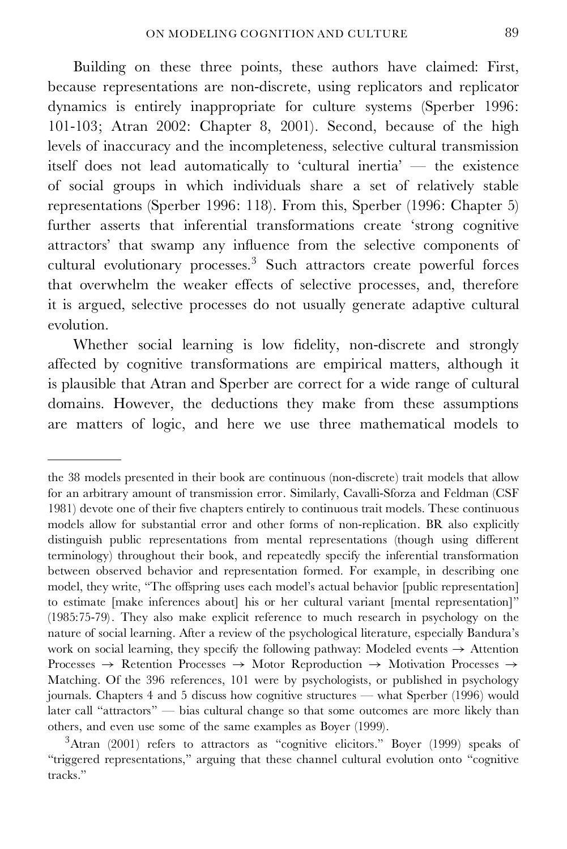Building on these three points, these authors have claimed: First, because representations are non-discrete, using replicators and replicator dynamics is entirely inappropriate for culture systems (Sperber 1996: 101-103; Atran 2002: Chapter 8, 2001). Second, because of the high levels of inaccuracy and the incompleteness, selective cultural transmission itself does not lead automatically to 'cultural inertia' — the existence of social groups in which individuals share a set of relatively stable representations (Sperber 1996: 118). From this, Sperber (1996: Chapter 5) further asserts that inferential transformations create 'strong cognitive attractors' that swamp any influence from the selective components of cultural evolutionary processes.<sup>3</sup> Such attractors create powerful forces that overwhelm the weaker effects of selective processes, and, therefore it is argued, selective processes do not usually generate adaptive cultural evolution.

Whether social learning is low fidelity, non-discrete and strongly affected by cognitive transformations are empirical matters, although it is plausible that Atran and Sperber are correct for a wide range of cultural domains. However, the deductions they make from these assumptions are matters of logic, and here we use three mathematical models to

the 38 models presented in their book are continuous (non-discrete) trait models that allow for an arbitrary amount of transmission error. Similarly, Cavalli-Sforza and Feldman (CSF 1981) devote one of their five chapters entirely to continuous trait models. These continuous models allow for substantial error and other forms of non-replication. BR also explicitly distinguish public representations from mental representations (though using different terminology) throughout their book, and repeatedly specify the inferential transformation between observed behavior and representation formed. For example, in describing one model, they write, "The offspring uses each model's actual behavior [public representation] to estimate [make inferences about] his or her cultural variant [mental representation]" (1985:75-79) . They also make explicit reference to much research in psychology on the nature of social learning. After a review of the psychological literature, especially Bandura's work on social learning, they specify the following pathway: Modeled events  $\rightarrow$  Attention Processes  $\rightarrow$  Retention Processes  $\rightarrow$  Motor Reproduction  $\rightarrow$  Motivation Processes  $\rightarrow$ Matching. Of the 396 references, 101 were by psychologists, or published in psychology journals. Chapters 4 and 5 discuss how cognitive structures — what Sperber (1996) would later call "attractors" — bias cultural change so that some outcomes are more likely than others, and even use some of the same examples as Boyer (1999).

<sup>&</sup>lt;sup>3</sup>Atran (2001) refers to attractors as "cognitive elicitors." Boyer (1999) speaks of "triggered representations," arguing that these channel cultural evolution onto "cognitive tracks."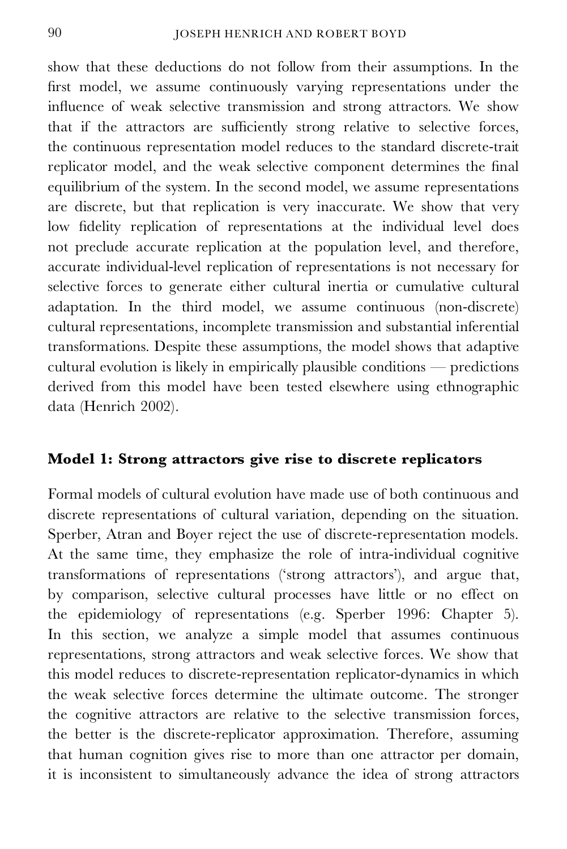show that these deductions do not follow from their assumptions. In the first model, we assume continuously varying representations under the influence of weak selective transmission and strong attractors. We show that if the attractors are sufficiently strong relative to selective forces, the continuous representation model reduces to the standard discrete-trait replicator model, and the weak selective component determines the final equilibrium of the system. In the second model, we assume representations are discrete, but that replication is very inaccurate. We show that very low fidelity replication of representations at the individual level does not preclude accurate replication at the population level, and therefore, accurate individual-level replication of representations is not necessary for selective forces to generate either cultural inertia or cumulative cultural adaptation. In the third model, we assume continuous (non-discrete) cultural representations, incomplete transmission and substantial inferential transformations. Despite these assumptions, the model shows that adaptive cultural evolution is likely in empirically plausible conditions — predictions derived from this model have been tested elsewhere using ethnographic data (Henrich 2002).

# **Model 1: Strong attractors give rise to discrete replicators**

Formal models of cultural evolution have made use of both continuous and discrete representations of cultural variation, depending on the situation. Sperber, Atran and Boyer reject the use of discrete-representation models. At the same time, they emphasize the role of intra-individual cognitive transformations of representations ('strong attractors'), and argue that, by comparison, selective cultural processes have little or no effect on the epidemiology of representations (e.g. Sperber 1996: Chapter 5). In this section, we analyze a simple model that assumes continuous representations, strong attractors and weak selective forces. We show that this model reduces to discrete-representation replicator-dynamics in which the weak selective forces determine the ultimate outcome. The stronger the cognitive attractors are relative to the selective transmission forces, the better is the discrete-replicator approximation. Therefore, assuming that human cognition gives rise to more than one attractor per domain, it is inconsistent to simultaneously advance the idea of strong attractors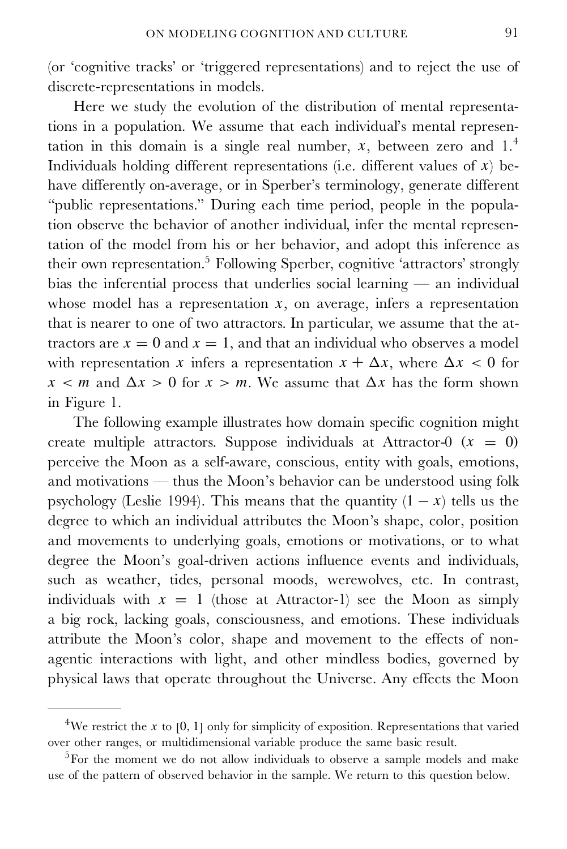(or 'cognitive tracks' or 'triggered representations) and to reject the use of discrete-representations in models.

Here we study the evolution of the distribution of mental representations in a population. We assume that each individual's mental representation in this domain is a single real number,  $x$ , between zero and  $1<sup>4</sup>$ Individuals holding different representations (i.e. different values of  $x$ ) behave differently on-average, or in Sperber's terminology, generate different "public representations." During each time period, people in the population observe the behavior of another individual, infer the mental representation of the model from his or her behavior, and adopt this inference as their own representation.<sup>5</sup> Following Sperber, cognitive 'attractors' strongly bias the inferential process that underlies social learning  $-$  an individual whose model has a representation  $x$ , on average, infers a representation that is nearer to one of two attractors. In particular, we assume that the attractors are  $x = 0$  and  $x = 1$ , and that an individual who observes a model with representation x infers a representation  $x + \Delta x$ , where  $\Delta x < 0$  for  $x < m$  and  $\Delta x > 0$  for  $x > m$ . We assume that  $\Delta x$  has the form shown in Figure 1.

The following example illustrates how domain specific cognition might create multiple attractors. Suppose individuals at Attractor-0  $(x = 0)$ perceive the Moon as a self-aware, conscious, entity with goals, emotions, and motivations — thus the Moon's behavior can be understood using folk psychology (Leslie 1994). This means that the quantity  $(1 - x)$  tells us the degree to which an individual attributes the Moon's shape, color, position and movements to underlying goals, emotions or motivations, or to what degree the Moon's goal-driven actions influence events and individuals, such as weather, tides, personal moods, werewolves, etc. In contrast, individuals with  $x = 1$  (those at Attractor-1) see the Moon as simply a big rock, lacking goals, consciousness, and emotions. These individuals attribute the Moon's color, shape and movement to the effects of non agentic interactions with light, and other mindless bodies, governed by physical laws that operate throughout the Universe. Any effects the Moon

<sup>&</sup>lt;sup>4</sup>We restrict the x to [0, 1] only for simplicity of exposition. Representations that varied over other ranges, or multidimensional variable produce the same basic result.

<sup>5</sup>For the moment we do not allow individuals to observe a sample models and make use of the pattern of observed behavior in the sample. We return to this question below.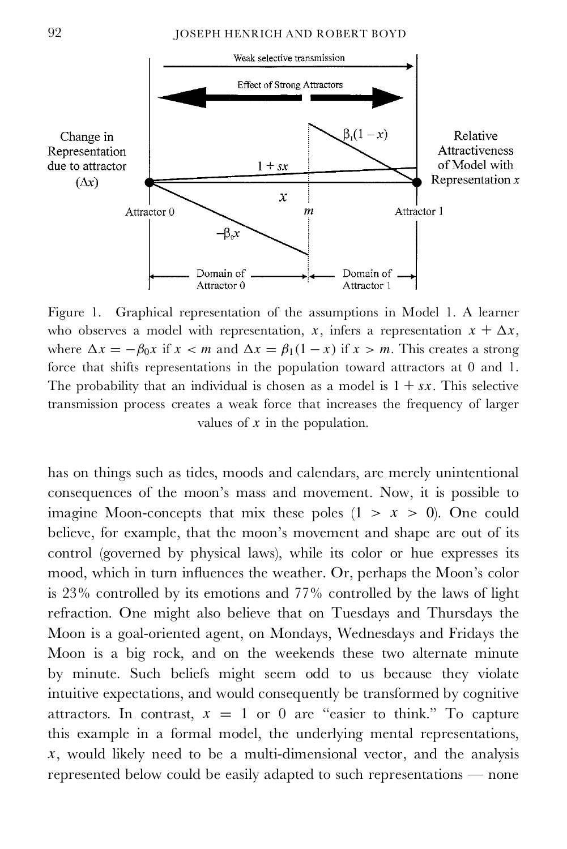

Figure 1. Graphical representation of the assumptions in Model 1. A learner who observes a model with representation, x, infers a representation  $x + \Delta x$ , where  $\Delta x = -\beta_0 x$  if  $x < m$  and  $\Delta x = \beta_1(1 - x)$  if  $x > m$ . This creates a strong force that shifts representations in the population toward attractors at 0 and 1. The probability that an individual is chosen as a model is  $1 + sx$ . This selective transmission process creates a weak force that increases the frequency of larger values of  $x$  in the population.

has on things such as tides, moods and calendars, are merely unintentional consequences of the moon's mass and movement. Now, it is possible to imagine Moon-concepts that mix these poles  $(1 \ge x \ge 0)$ . One could believe, for example, that the moon's movement and shape are out of its control (governed by physical laws), while its color or hue expresses its mood, which in turn influences the weather. Or, perhaps the Moon's color is 23% controlled by its emotions and 77% controlled by the laws of light refraction. One might also believe that on Tuesdays and Thursdays the Moon is a goal-oriented agent, on Mondays, Wednesdays and Fridays the Moon is a big rock, and on the weekends these two alternate minute by minute. Such beliefs might seem odd to us because they violate intuitive expectations, and would consequently be transformed by cognitive attractors. In contrast,  $x = 1$  or 0 are "easier to think." To capture this example in a formal model, the underlying mental representations,  $x$ , would likely need to be a multi-dimensional vector, and the analysis represented below could be easily adapted to such representations — none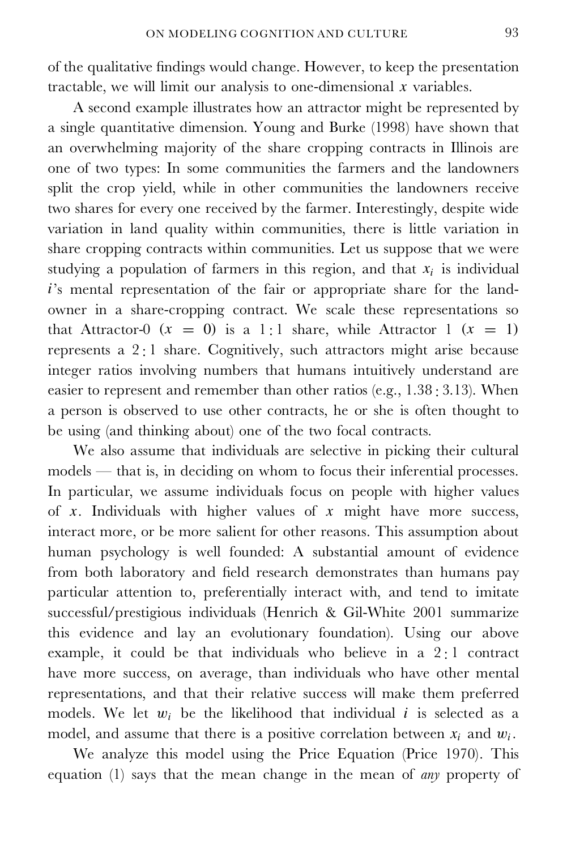of the qualitative findings would change. However, to keep the presentation tractable, we will limit our analysis to one-dimensional  $x$  variables.

A second example illustrates how an attractor might be represented by a single quantitative dimension. Young and Burke (1998) have shown that an overwhelming majority of the share cropping contracts in Illinois are one of two types: In some communities the farmers and the landowners split the crop yield, while in other communities the landowners receive two shares for every one received by the farmer. Interestingly, despite wide variation in land quality within communities, there is little variation in share cropping contracts within communities. Let us suppose that we were studying a population of farmers in this region, and that  $x_i$  is individual i's mental representation of the fair or appropriate share for the land owner in a share-cropping contract. We scale these representations so that Attractor-0  $(x = 0)$  is a 1 : 1 share, while Attractor 1  $(x = 1)$ represents a 2 : 1 share. Cognitively, such attractors might arise because integer ratios involving numbers that humans intuitively understand are easier to represent and remember than other ratios (e.g., 1.38 : 3.13). When a person is observed to use other contracts, he or she is often thought to be using (and thinking about) one of the two focal contracts.

We also assume that individuals are selective in picking their cultural models — that is, in deciding on whom to focus their inferential processes. In particular, we assume individuals focus on people with higher values of x. Individuals with higher values of x might have more success, interact more, or be more salient for other reasons. This assumption about human psychology is well founded: A substantial amount of evidence from both laboratory and field research demonstrates than humans pay particular attention to, preferentially interact with, and tend to imitate successful/prestigious individuals (Henrich & Gil-White 2001 summarize this evidence and lay an evolutionary foundation). Using our above example, it could be that individuals who believe in a 2 : 1 contract have more success, on average, than individuals who have other mental representations, and that their relative success will make them preferred models. We let  $w_i$  be the likelihood that individual i is selected as a model, and assume that there is a positive correlation between  $x_i$  and  $w_i$ .

We analyze this model using the Price Equation (Price 1970). This equation (1) says that the mean change in the mean of *any* property of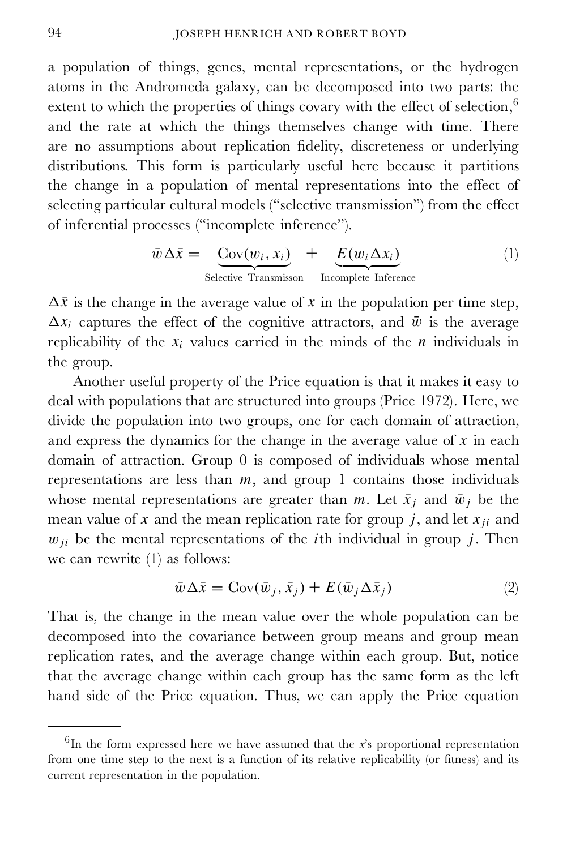a population of things, genes, mental representations, or the hydrogen atoms in the Andromeda galaxy, can be decomposed into two parts: the extent to which the properties of things covary with the effect of selection, $6$ and the rate at which the things themselves change with time. There are no assumptions about replication fidelity, discreteness or underlying distributions. This form is particularly useful here because it partitions the change in a population of mental representations into the effect of selecting particular cultural models ("selective transmission") from the effect of inferential processes ("incomplete inference").

$$
\bar{w} \Delta \bar{x} = \underbrace{\text{Cov}(w_i, x_i)}_{\text{Selective Transmission}} + \underbrace{E(w_i \Delta x_i)}_{\text{Incomplete Inference}} \tag{1}
$$

 $\Delta \bar{x}$  is the change in the average value of x in the population per time step,  $\Delta x_i$  captures the effect of the cognitive attractors, and  $\bar{w}$  is the average replicability of the  $x_i$  values carried in the minds of the *n* individuals in the group.

Another useful property of the Price equation is that it makes it easy to deal with populations that are structured into groups (Price 1972). Here, we divide the population into two groups, one for each domain of attraction, and express the dynamics for the change in the average value of  $x$  in each domain of attraction. Group 0 is composed of individuals whose mental representations are less than  $m$ , and group 1 contains those individuals whose mental representations are greater than m. Let  $\bar{x}_i$  and  $\bar{w}_i$  be the mean value of x and the mean replication rate for group j, and let  $x_{ji}$  and  $w_{ji}$  be the mental representations of the *i*th individual in group *j*. Then we can rewrite (1) as follows:

$$
\bar{w}\Delta\bar{x} = \text{Cov}(\bar{w}_j, \bar{x}_j) + E(\bar{w}_j \Delta\bar{x}_j)
$$
\n(2)

That is, the change in the mean value over the whole population can be decomposed into the covariance between group means and group mean replication rates, and the average change within each group. But, notice that the average change within each group has the same form as the left hand side of the Price equation. Thus, we can apply the Price equation

<sup>6</sup> In the form expressed here we have assumed that the *x*'s proportional representation from one time step to the next is a function of its relative replicability (or fitness) and its current representation in the population.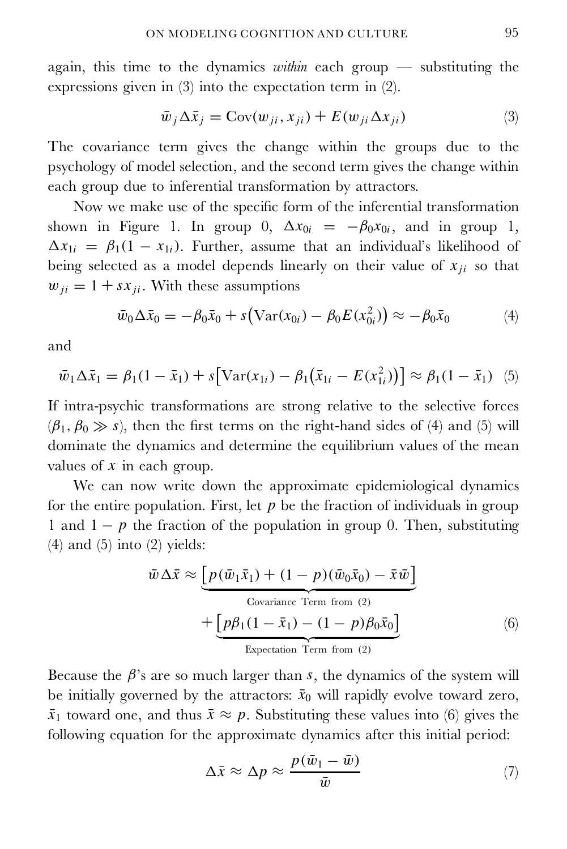again, this time to the dynamics *within* each group — substituting the expressions given in (3) into the expectation term in (2).

$$
\bar{w}_j \Delta \bar{x}_j = \text{Cov}(w_{ji}, x_{ji}) + E(w_{ji} \Delta x_{ji}) \tag{3}
$$

The covariance term gives the change within the groups due to the psychology of model selection, and the second term gives the change within each group due to inferential transformation by attractors.

Now we make use of the specific form of the inferential transformation shown in Figure 1. In group 0,  $\Delta x_{0i} = -\beta_0 x_{0i}$ , and in group 1,  $\Delta x_{1i} = \beta_1(1 - x_{1i})$ . Further, assume that an individual's likelihood of being selected as a model depends linearly on their value of  $x_{ji}$  so that  $w_{ii} = 1 + sx_{ii}$ . With these assumptions

$$
\bar{w}_0 \Delta \bar{x}_0 = -\beta_0 \bar{x}_0 + s \big( \text{Var}(x_{0i}) - \beta_0 E(x_{0i}^2) \big) \approx -\beta_0 \bar{x}_0 \tag{4}
$$

and

$$
\bar{w}_1 \Delta \bar{x}_1 = \beta_1 (1 - \bar{x}_1) + s \big[ \text{Var}(x_{1i}) - \beta_1 (\bar{x}_{1i} - E(x_{1i}^2)) \big] \approx \beta_1 (1 - \bar{x}_1) \tag{5}
$$

If intra-psychic transformations are strong relative to the selective forces  $(\beta_1, \beta_0 \gg s)$ , then the first terms on the right-hand sides of (4) and (5) will dominate the dynamics and determine the equilibrium values of the mean values of  $x$  in each group.

We can now write down the approximate epidemiological dynamics for the entire population. First, let  $p$  be the fraction of individuals in group 1 and  $1 - p$  the fraction of the population in group 0. Then, substituting  $(4)$  and  $(5)$  into  $(2)$  yields:

$$
\bar{w} \Delta \bar{x} \approx \underbrace{\left[ p(\bar{w}_1 \bar{x}_1) + (1 - p)(\bar{w}_0 \bar{x}_0) - \bar{x} \bar{w} \right]}_{\text{Covariance Term from (2)}} + \underbrace{\left[ p\beta_1(1 - \bar{x}_1) - (1 - p)\beta_0 \bar{x}_0 \right]}_{\text{Expectation Term from (2)}}
$$
\n(6)

Because the  $\beta$ 's are so much larger than s, the dynamics of the system will be initially governed by the attractors:  $\bar{x}_0$  will rapidly evolve toward zero,  $\bar{x}_1$  toward one, and thus  $\bar{x} \approx p$ . Substituting these values into (6) gives the following equation for the approximate dynamics after this initial period:

$$
\Delta \bar{x} \approx \Delta p \approx \frac{p(\bar{w}_1 - \bar{w})}{\bar{w}} \tag{7}
$$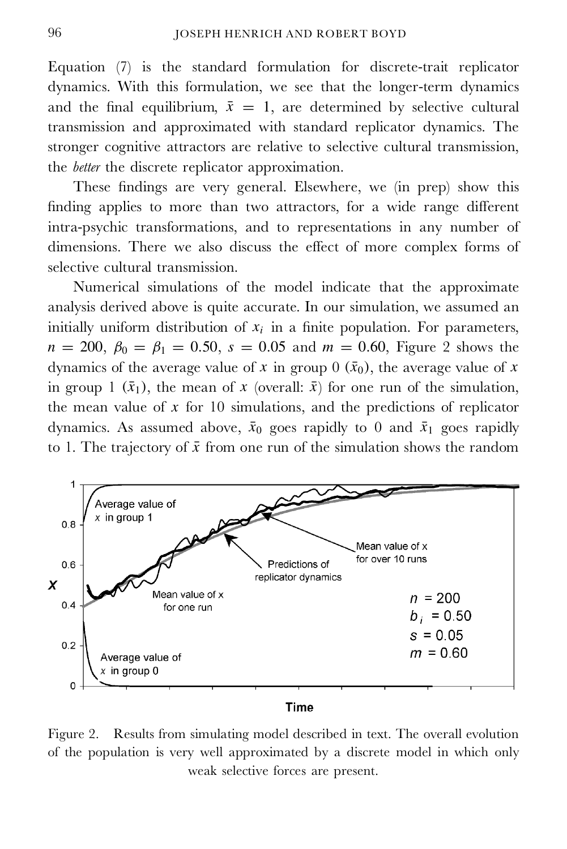Equation (7) is the standard formulation for discrete-trait replicator dynamics. With this formulation, we see that the longer-term dynamics and the final equilibrium,  $\bar{x} = 1$ , are determined by selective cultural transmission and approximated with standard replicator dynamics. The stronger cognitive attractors are relative to selective cultural transmission, the *better* the discrete replicator approximation.

These findings are very general. Elsewhere, we (in prep) show this nding applies to more than two attractors, for a wide range different intra-psychic transformations, and to representations in any number of dimensions. There we also discuss the effect of more complex forms of selective cultural transmission.

Numerical simulations of the model indicate that the approximate analysis derived above is quite accurate. In our simulation, we assumed an initially uniform distribution of  $x_i$  in a finite population. For parameters,  $n = 200, \beta_0 = \beta_1 = 0.50, s = 0.05$  and  $m = 0.60$ , Figure 2 shows the dynamics of the average value of x in group 0  $(\bar{x}_0)$ , the average value of x in group 1  $(\bar{x}_1)$ , the mean of x (overall:  $\bar{x}$ ) for one run of the simulation, the mean value of  $x$  for 10 simulations, and the predictions of replicator dynamics. As assumed above,  $\bar{x}_0$  goes rapidly to 0 and  $\bar{x}_1$  goes rapidly to 1. The trajectory of  $\bar{x}$  from one run of the simulation shows the random



#### **Time**

Figure 2. Results from simulating model described in text. The overall evolution of the population is very well approximated by a discrete model in which only weak selective forces are present.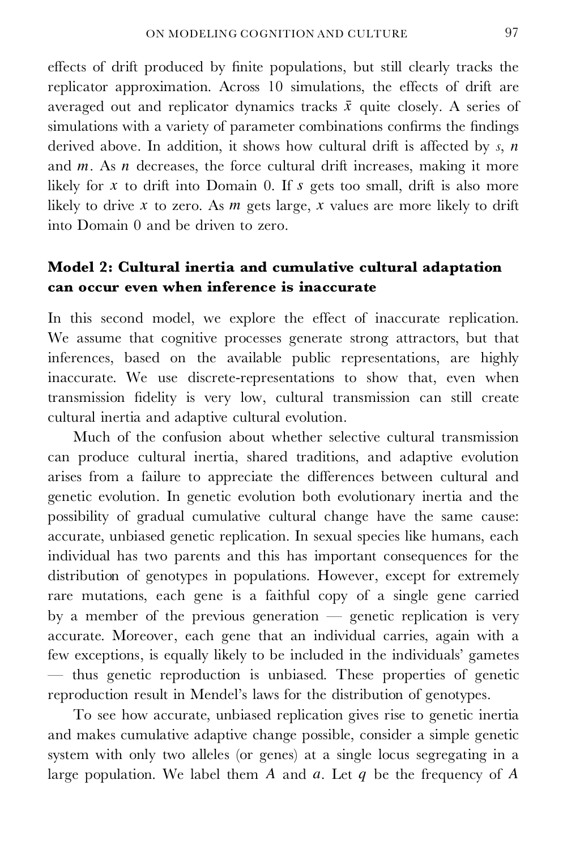effects of drift produced by nite populations, but still clearly tracks the replicator approximation. Across 10 simulations, the effects of drift are averaged out and replicator dynamics tracks  $\bar{x}$  quite closely. A series of simulations with a variety of parameter combinations confirms the findings derived above. In addition, it shows how cultural drift is affected by *s*, *n* and  $m$ . As  $n$  decreases, the force cultural drift increases, making it more likely for  $x$  to drift into Domain 0. If  $s$  gets too small, drift is also more likely to drive  $x$  to zero. As  $m$  gets large,  $x$  values are more likely to drift into Domain 0 and be driven to zero.

# **Model 2: Cultural inertia and cumulative cultural adaptation can occur even when inference is inaccurate**

In this second model, we explore the effect of inaccurate replication. We assume that cognitive processes generate strong attractors, but that inferences, based on the available public representations, are highly inaccurate. We use discrete-representations to show that, even when transmission delity is very low, cultural transmission can still create cultural inertia and adaptive cultural evolution.

Much of the confusion about whether selective cultural transmission can produce cultural inertia, shared traditions, and adaptive evolution arises from a failure to appreciate the differences between cultural and genetic evolution. In genetic evolution both evolutionary inertia and the possibility of gradual cumulative cultural change have the same cause: accurate, unbiased genetic replication. In sexual species like humans, each individual has two parents and this has important consequences for the distribution of genotypes in populations. However, except for extremely rare mutations, each gene is a faithful copy of a single gene carried by a member of the previous generation — genetic replication is very accurate. Moreover, each gene that an individual carries, again with a few exceptions, is equally likely to be included in the individuals' gametes — thus genetic reproduction is unbiased. These properties of genetic reproduction result in Mendel's laws for the distribution of genotypes.

To see how accurate, unbiased replication gives rise to genetic inertia and makes cumulative adaptive change possible, consider a simple genetic system with only two alleles (or genes) at a single locus segregating in a large population. We label them  $A$  and  $a$ . Let  $q$  be the frequency of  $A$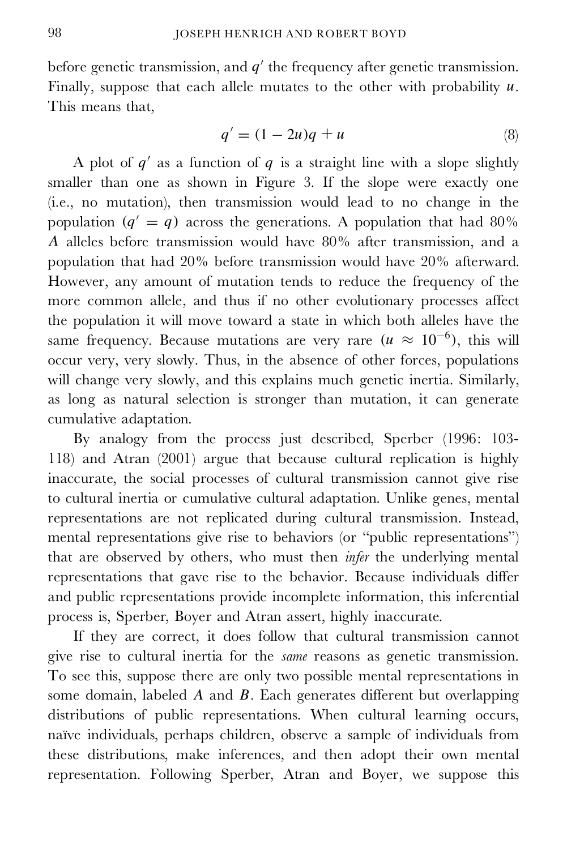before genetic transmission, and  $q'$  the frequency after genetic transmission. Finally, suppose that each allele mutates to the other with probability  $u$ . This means that,

$$
q' = (1 - 2u)q + u \tag{8}
$$

A plot of  $q'$  as a function of  $q$  is a straight line with a slope slightly smaller than one as shown in Figure 3. If the slope were exactly one (i.e., no mutation), then transmission would lead to no change in the population  $(q' = q)$  across the generations. A population that had 80% A alleles before transmission would have 80% after transmission, and a population that had 20% before transmission would have 20% afterward. However, any amount of mutation tends to reduce the frequency of the more common allele, and thus if no other evolutionary processes affect the population it will move toward a state in which both alleles have the same frequency. Because mutations are very rare  $(u \approx 10^{-6})$ , this will occur very, very slowly. Thus, in the absence of other forces, populations will change very slowly, and this explains much genetic inertia. Similarly, as long as natural selection is stronger than mutation, it can generate cumulative adaptation.

By analogy from the process just described, Sperber (1996: 103- 118) and Atran (2001) argue that because cultural replication is highly inaccurate, the social processes of cultural transmission cannot give rise to cultural inertia or cumulative cultural adaptation. Unlike genes, mental representations are not replicated during cultural transmission. Instead, mental representations give rise to behaviors (or "public representations") that are observed by others, who must then *infer* the underlying mental representations that gave rise to the behavior. Because individuals differ and public representations provide incomplete information, this inferential process is, Sperber, Boyer and Atran assert, highly inaccurate.

If they are correct, it does follow that cultural transmission cannot give rise to cultural inertia for the *same* reasons as genetic transmission. To see this, suppose there are only two possible mental representations in some domain, labeled A and B. Each generates different but overlapping distributions of public representations. When cultural learning occurs, naïve individuals, perhaps children, observe a sample of individuals from these distributions, make inferences, and then adopt their own mental representation. Following Sperber, Atran and Boyer, we suppose this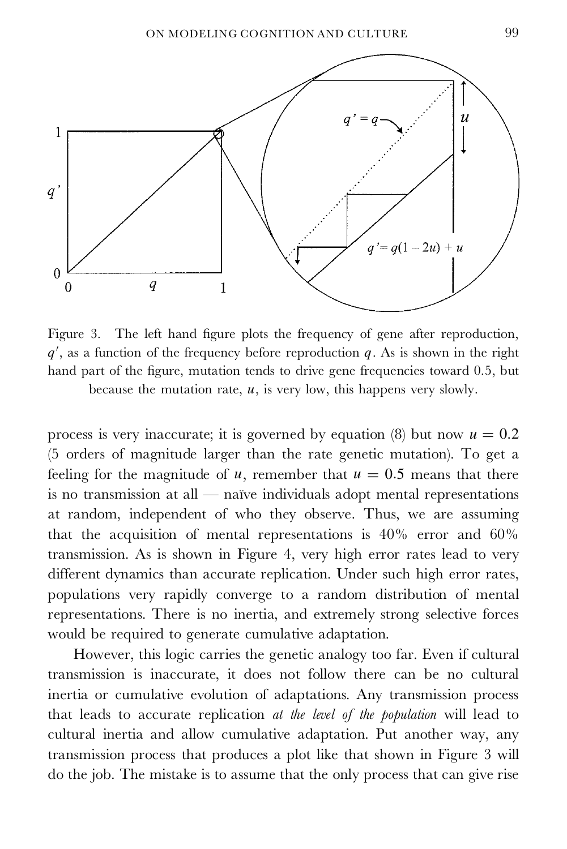

Figure 3. The left hand figure plots the frequency of gene after reproduction,  $q'$ , as a function of the frequency before reproduction  $q$ . As is shown in the right hand part of the figure, mutation tends to drive gene frequencies toward 0.5, but because the mutation rate,  $u$ , is very low, this happens very slowly.

process is very inaccurate; it is governed by equation (8) but now  $u = 0.2$ (5 orders of magnitude larger than the rate genetic mutation). To get a feeling for the magnitude of u, remember that  $u = 0.5$  means that there is no transmission at all — naïve individuals adopt mental representations at random, independent of who they observe. Thus, we are assuming that the acquisition of mental representations is 40% error and 60% transmission. As is shown in Figure 4, very high error rates lead to very different dynamics than accurate replication. Under such high error rates, populations very rapidly converge to a random distribution of mental representations. There is no inertia, and extremely strong selective forces would be required to generate cumulative adaptation.

However, this logic carries the genetic analogy too far. Even if cultural transmission is inaccurate, it does not follow there can be no cultural inertia or cumulative evolution of adaptations. Any transmission process that leads to accurate replication *at the level of the population* will lead to cultural inertia and allow cumulative adaptation. Put another way, any transmission process that produces a plot like that shown in Figure 3 will do the job. The mistake is to assume that the only process that can give rise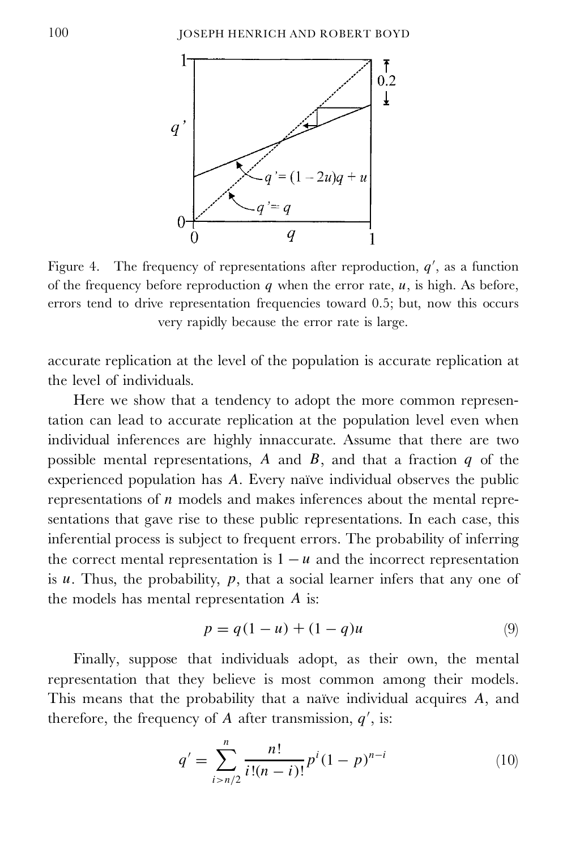

Figure 4. The frequency of representations after reproduction,  $q'$ , as a function of the frequency before reproduction  $q$  when the error rate,  $u$ , is high. As before, errors tend to drive representation frequencies toward 0.5; but, now this occurs very rapidly because the error rate is large.

accurate replication at the level of the population is accurate replication at the level of individuals.

Here we show that a tendency to adopt the more common representation can lead to accurate replication at the population level even when individual inferences are highly innaccurate. Assume that there are two possible mental representations,  $A$  and  $B$ , and that a fraction  $q$  of the experienced population has A. Every naïve individual observes the public representations of  $n$  models and makes inferences about the mental representations that gave rise to these public representations. In each case, this inferential process is subject to frequent errors. The probability of inferring the correct mental representation is  $1 - u$  and the incorrect representation is  $u$ . Thus, the probability,  $p$ , that a social learner infers that any one of the models has mental representation A is:

$$
p = q(1 - u) + (1 - q)u \tag{9}
$$

Finally, suppose that individuals adopt, as their own, the mental representation that they believe is most common among their models. This means that the probability that a naïve individual acquires A, and therefore, the frequency of A after transmission,  $q'$ , is:

$$
q' = \sum_{i>n/2}^{n} \frac{n!}{i!(n-i)!} p^i (1-p)^{n-i}
$$
 (10)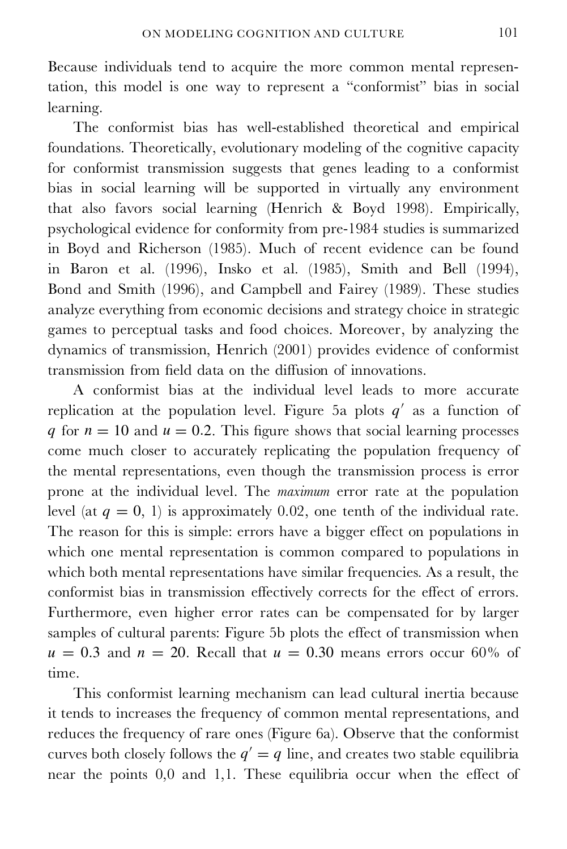Because individuals tend to acquire the more common mental representation, this model is one way to represent a "conformist" bias in social learning.

The conformist bias has well-established theoretical and empirical foundations. Theoretically, evolutionary modeling of the cognitive capacity for conformist transmission suggests that genes leading to a conformist bias in social learning will be supported in virtually any environment that also favors social learning (Henrich & Boyd 1998). Empirically, psychological evidence for conformity from pre-1984 studies is summarized in Boyd and Richerson (1985). Much of recent evidence can be found in Baron et al. (1996), Insko et al. (1985), Smith and Bell (1994), Bond and Smith (1996), and Campbell and Fairey (1989). These studies analyze everything from economic decisions and strategy choice in strategic games to perceptual tasks and food choices. Moreover, by analyzing the dynamics of transmission, Henrich (2001) provides evidence of conformist transmission from field data on the diffusion of innovations.

A conformist bias at the individual level leads to more accurate replication at the population level. Figure 5a plots  $q'$  as a function of q for  $n = 10$  and  $u = 0.2$ . This figure shows that social learning processes come much closer to accurately replicating the population frequency of the mental representations, even though the transmission process is error prone at the individual level. The *maximum* error rate at the population level (at  $q = 0, 1$ ) is approximately 0.02, one tenth of the individual rate. The reason for this is simple: errors have a bigger effect on populations in which one mental representation is common compared to populations in which both mental representations have similar frequencies. As a result, the conformist bias in transmission effectively corrects for the effect of errors. Furthermore, even higher error rates can be compensated for by larger samples of cultural parents: Figure 5b plots the effect of transmission when  $u = 0.3$  and  $n = 20$ . Recall that  $u = 0.30$  means errors occur 60% of time.

This conformist learning mechanism can lead cultural inertia because it tends to increases the frequency of common mental representations, and reduces the frequency of rare ones (Figure 6a). Observe that the conformist curves both closely follows the  $q' = q$  line, and creates two stable equilibria near the points 0,0 and 1,1. These equilibria occur when the effect of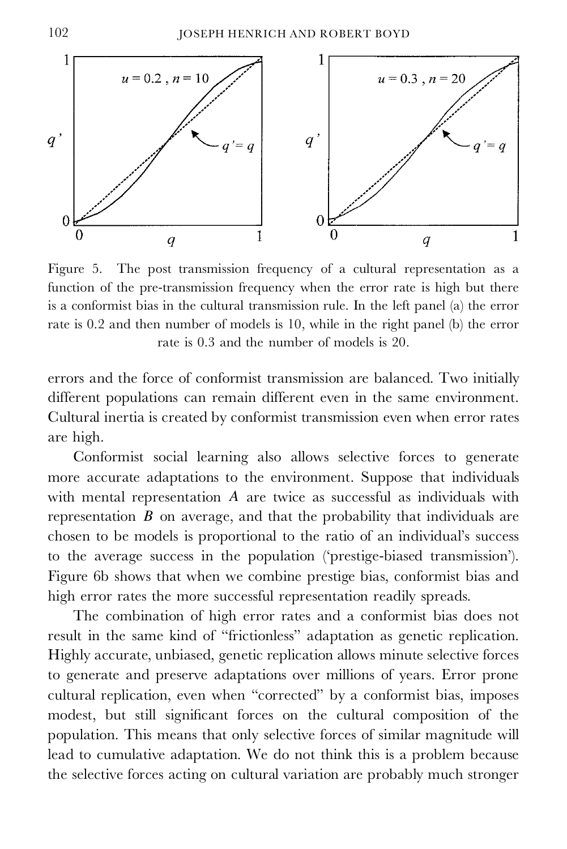

Figure 5. The post transmission frequency of a cultural representation as a function of the pre-transmission frequency when the error rate is high but there is a conformist bias in the cultural transmission rule. In the left panel (a) the error rate is 0.2 and then number of models is 10, while in the right panel (b) the error rate is 0.3 and the number of models is 20.

errors and the force of conformist transmission are balanced. Two initially different populations can remain different even in the same environment. Cultural inertia is created by conformist transmission even when error rates are high.

Conformist social learning also allows selective forces to generate more accurate adaptations to the environment. Suppose that individuals with mental representation A are twice as successful as individuals with representation  $B$  on average, and that the probability that individuals are chosen to be models is proportional to the ratio of an individual's success to the average success in the population ('prestige-biased transmission'). Figure 6b shows that when we combine prestige bias, conformist bias and high error rates the more successful representation readily spreads.

The combination of high error rates and a conformist bias does not result in the same kind of "frictionless" adaptation as genetic replication. Highly accurate, unbiased, genetic replication allows minute selective forces to generate and preserve adaptations over millions of years. Error prone cultural replication, even when "corrected" by a conformist bias, imposes modest, but still significant forces on the cultural composition of the population. This means that only selective forces of similar magnitude will lead to cumulative adaptation. We do not think this is a problem because the selective forces acting on cultural variation are probably much stronger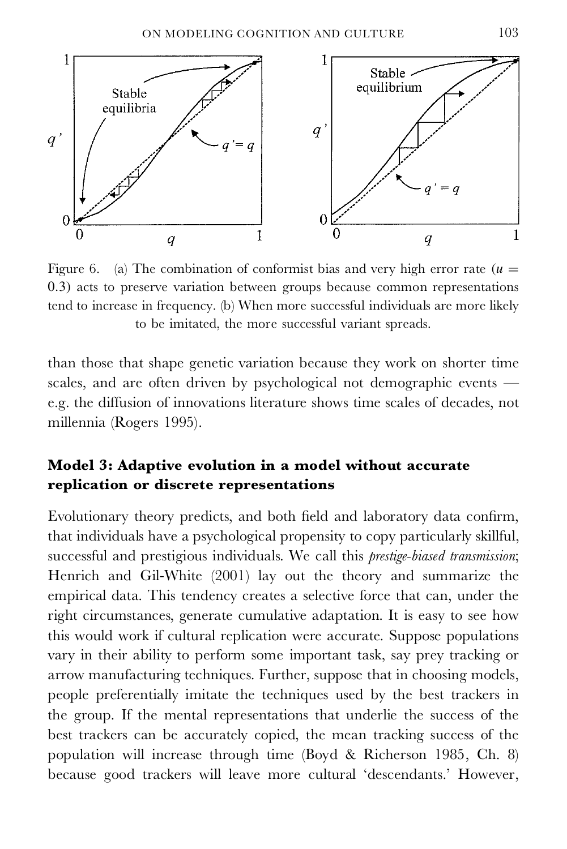

Figure 6. (a) The combination of conformist bias and very high error rate  $(u =$ 0.3) acts to preserve variation between groups because common representations tend to increase in frequency. (b) When more successful individuals are more likely to be imitated, the more successful variant spreads.

than those that shape genetic variation because they work on shorter time scales, and are often driven by psychological not demographic events e.g. the diffusion of innovations literature shows time scales of decades, not millennia (Rogers 1995).

# **Model 3: Adaptive evolution in a model without accurate replication or discrete representations**

Evolutionary theory predicts, and both field and laboratory data confirm, that individuals have a psychological propensity to copy particularly skillful, successful and prestigious individuals. We call this *prestige-biased transmission*; Henrich and Gil-White (2001) lay out the theory and summarize the empirical data. This tendency creates a selective force that can, under the right circumstances, generate cumulative adaptation. It is easy to see how this would work if cultural replication were accurate. Suppose populations vary in their ability to perform some important task, say prey tracking or arrow manufacturing techniques. Further, suppose that in choosing models, people preferentially imitate the techniques used by the best trackers in the group. If the mental representations that underlie the success of the best trackers can be accurately copied, the mean tracking success of the population will increase through time (Boyd & Richerson 1985, Ch. 8) because good trackers will leave more cultural 'descendants.' However,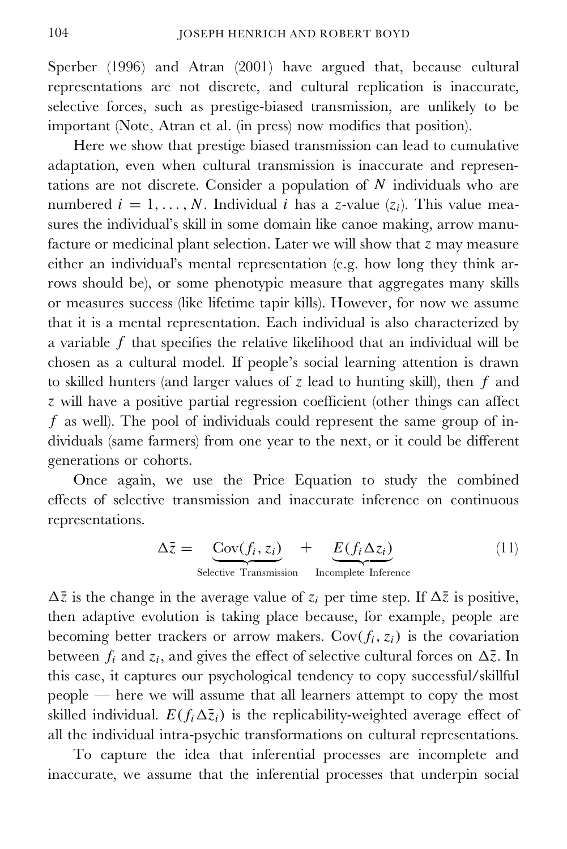Sperber (1996) and Atran (2001) have argued that, because cultural representations are not discrete, and cultural replication is inaccurate, selective forces, such as prestige-biased transmission, are unlikely to be important (Note, Atran et al. (in press) now modifies that position).

Here we show that prestige biased transmission can lead to cumulative adaptation, even when cultural transmission is inaccurate and representations are not discrete. Consider a population of  $N$  individuals who are numbered  $i=1,\ldots, N$ . Individual i has a z-value ( $z_i$ ). This value measures the individual's skill in some domain like canoe making, arrow manufacture or medicinal plant selection. Later we will show that z may measure either an individual's mental representation (e.g. how long they think arrows should be), or some phenotypic measure that aggregates many skills or measures success (like lifetime tapir kills). However, for now we assume that it is a mental representation. Each individual is also characterized by a variable  $f$  that specifies the relative likelihood that an individual will be chosen as a cultural model. If people's social learning attention is drawn to skilled hunters (and larger values of  $z$  lead to hunting skill), then  $f$  and  $z$  will have a positive partial regression coefficient (other things can affect  $f$  as well). The pool of individuals could represent the same group of individuals (same farmers) from one year to the next, or it could be different generations or cohorts.

Once again, we use the Price Equation to study the combined effects of selective transmission and inaccurate inference on continuous representations.

$$
\Delta \bar{z} = \underbrace{\text{Cov}(f_i, z_i)}_{\text{Selective Transmission}} + \underbrace{E(f_i \Delta z_i)}_{\text{Incomplete Inference}} \tag{11}
$$

 $\Delta \bar{z}$  is the change in the average value of  $z_i$  per time step. If  $\Delta \bar{z}$  is positive, then adaptive evolution is taking place because, for example, people are becoming better trackers or arrow makers.  $Cov(f_i, z_i)$  is the covariation between  $f_i$  and  $z_i$ , and gives the effect of selective cultural forces on  $\Delta \bar{z}$ . In this case, it captures our psychological tendency to copy successful/skillful people — here we will assume that all learners attempt to copy the most skilled individual.  $E(f_i\Delta\bar{z}_i)$  is the replicability-weighted average effect of all the individual intra-psychic transformations on cultural representations.

To capture the idea that inferential processes are incomplete and inaccurate, we assume that the inferential processes that underpin social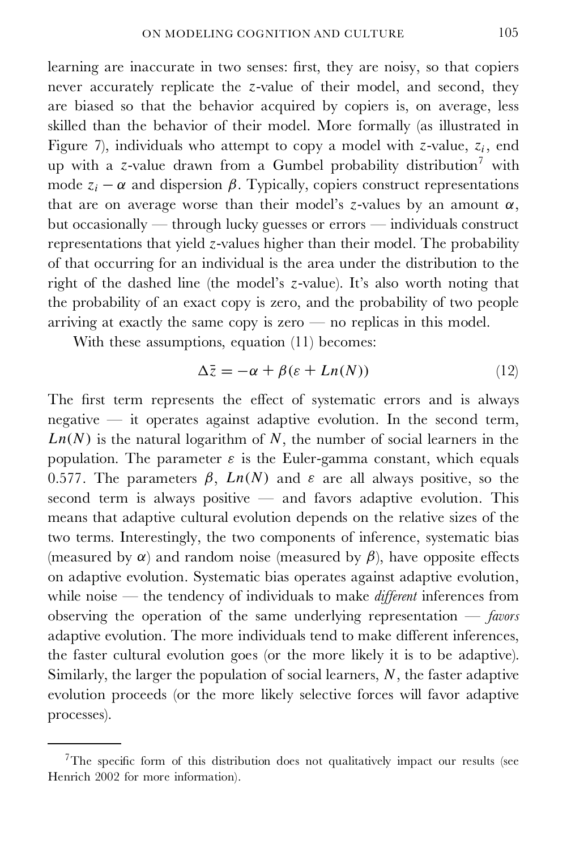learning are inaccurate in two senses: first, they are noisy, so that copiers never accurately replicate the z-value of their model, and second, they are biased so that the behavior acquired by copiers is, on average, less skilled than the behavior of their model. More formally (as illustrated in Figure 7), individuals who attempt to copy a model with z-value,  $z_i$ , end up with a z-value drawn from a Gumbel probability distribution <sup>7</sup> with mode  $z_i - \alpha$  and dispersion  $\beta$ . Typically, copiers construct representations that are on average worse than their model's z-values by an amount  $\alpha$ , but occasionally — through lucky guesses or errors — individuals construct representations that yield z-values higher than their model. The probability of that occurring for an individual is the area under the distribution to the right of the dashed line (the model's z-value). It's also worth noting that the probability of an exact copy is zero, and the probability of two people arriving at exactly the same copy is zero — no replicas in this model.

With these assumptions, equation (11) becomes:

$$
\Delta \bar{z} = -\alpha + \beta (\varepsilon + Ln(N)) \tag{12}
$$

The first term represents the effect of systematic errors and is always negative — it operates against adaptive evolution. In the second term,  $Ln(N)$  is the natural logarithm of  $N$ , the number of social learners in the population. The parameter  $\varepsilon$  is the Euler-gamma constant, which equals 0.577. The parameters  $\beta$ ,  $Ln(N)$  and  $\varepsilon$  are all always positive, so the second term is always positive  $-$  and favors adaptive evolution. This means that adaptive cultural evolution depends on the relative sizes of the two terms. Interestingly, the two components of inference, systematic bias (measured by  $\alpha$ ) and random noise (measured by  $\beta$ ), have opposite effects on adaptive evolution. Systematic bias operates against adaptive evolution, while noise — the tendency of individuals to make *different* inferences from observing the operation of the same underlying representation — *favors* adaptive evolution. The more individuals tend to make different inferences, the faster cultural evolution goes (or the more likely it is to be adaptive). Similarly, the larger the population of social learners,  $N$ , the faster adaptive evolution proceeds (or the more likely selective forces will favor adaptive processes).

 $7$ The specific form of this distribution does not qualitatively impact our results (see Henrich 2002 for more information).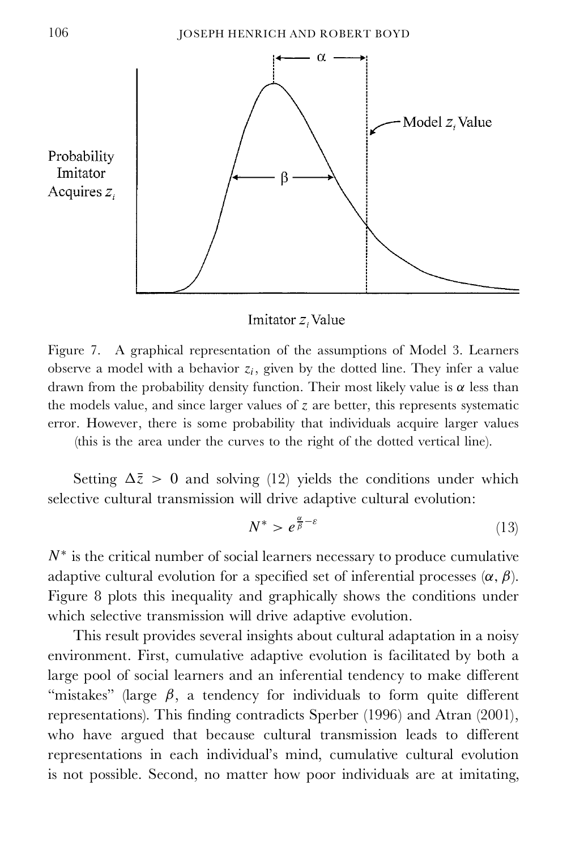

Imitator z, Value

Figure 7. A graphical representation of the assumptions of Model 3. Learners observe a model with a behavior  $z_i$ , given by the dotted line. They infer a value drawn from the probability density function. Their most likely value is  $\alpha$  less than the models value, and since larger values of z are better, this represents systematic error. However, there is some probability that individuals acquire larger values

(this is the area under the curves to the right of the dotted vertical line).

Setting  $\Delta \bar{z} > 0$  and solving (12) yields the conditions under which selective cultural transmission will drive adaptive cultural evolution:

$$
N^* > e^{\frac{\alpha}{\beta} - \varepsilon} \tag{13}
$$

 $N^*$  is the critical number of social learners necessary to produce cumulative adaptive cultural evolution for a specified set of inferential processes  $(\alpha, \beta)$ . Figure 8 plots this inequality and graphically shows the conditions under which selective transmission will drive adaptive evolution.

This result provides several insights about cultural adaptation in a noisy environment. First, cumulative adaptive evolution is facilitated by both a large pool of social learners and an inferential tendency to make different "mistakes" (large  $\beta$ , a tendency for individuals to form quite different representations). This finding contradicts Sperber (1996) and Atran (2001), who have argued that because cultural transmission leads to different representations in each individual's mind, cumulative cultural evolution is not possible. Second, no matter how poor individuals are at imitating,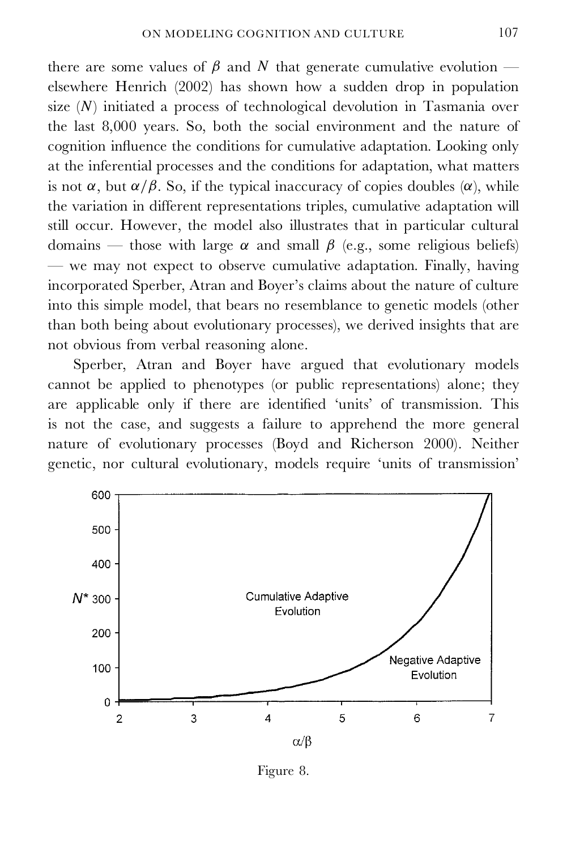there are some values of  $\beta$  and N that generate cumulative evolution elsewhere Henrich (2002) has shown how a sudden drop in population size  $(N)$  initiated a process of technological devolution in Tasmania over the last 8,000 years. So, both the social environment and the nature of cognition influence the conditions for cumulative adaptation. Looking only at the inferential processes and the conditions for adaptation, what matters is not  $\alpha$ , but  $\alpha/\beta$ . So, if the typical inaccuracy of copies doubles  $(\alpha)$ , while the variation in different representations triples, cumulative adaptation will still occur. However, the model also illustrates that in particular cultural domains — those with large  $\alpha$  and small  $\beta$  (e.g., some religious beliefs) — we may not expect to observe cumulative adaptation. Finally, having incorporated Sperber, Atran and Boyer's claims about the nature of culture into this simple model, that bears no resemblance to genetic models (other than both being about evolutionary processes), we derived insights that are not obvious from verbal reasoning alone.

Sperber, Atran and Boyer have argued that evolutionary models cannot be applied to phenotypes (or public representations) alone; they are applicable only if there are identified 'units' of transmission. This is not the case, and suggests a failure to apprehend the more general nature of evolutionary processes (Boyd and Richerson 2000). Neither genetic, nor cultural evolutionary, models require 'units of transmission'



Figure 8.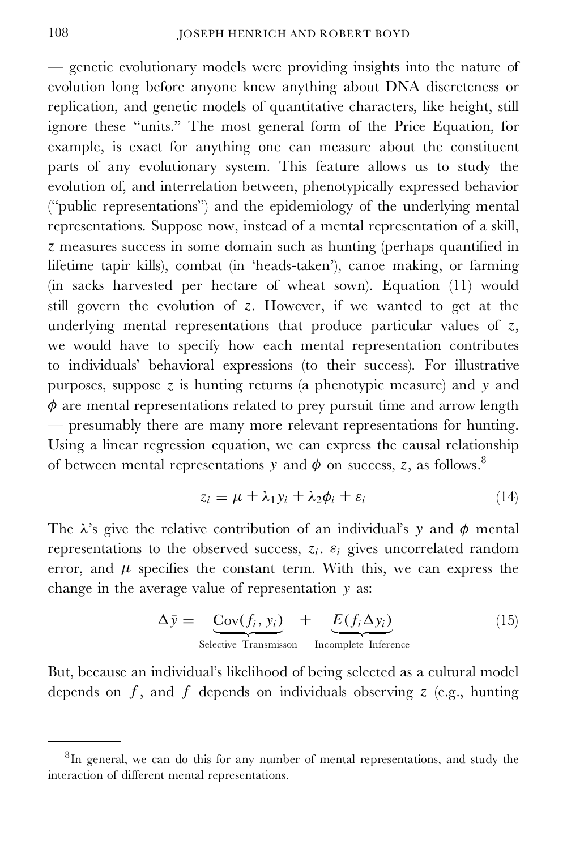— genetic evolutionary models were providing insights into the nature of evolution long before anyone knew anything about DNA discreteness or replication, and genetic models of quantitative characters, like height, still ignore these "units." The most general form of the Price Equation, for example, is exact for anything one can measure about the constituent parts of any evolutionary system. This feature allows us to study the evolution of, and interrelation between, phenotypically expressed behavior ("public representations") and the epidemiology of the underlying mental representations. Suppose now, instead of a mental representation of a skill,  $z$  measures success in some domain such as hunting (perhaps quantified in lifetime tapir kills), combat (in 'heads-taken'), canoe making, or farming (in sacks harvested per hectare of wheat sown). Equation (11) would still govern the evolution of z. However, if we wanted to get at the underlying mental representations that produce particular values of  $z$ , we would have to specify how each mental representation contributes to individuals' behavioral expressions (to their success). For illustrative purposes, suppose  $z$  is hunting returns (a phenotypic measure) and  $y$  and  $\phi$  are mental representations related to prey pursuit time and arrow length — presumably there are many more relevant representations for hunting. Using a linear regression equation, we can express the causal relationship of between mental representations y and  $\phi$  on success, z, as follows.<sup>8</sup>

$$
z_i = \mu + \lambda_1 y_i + \lambda_2 \phi_i + \varepsilon_i \tag{14}
$$

The  $\lambda$ 's give the relative contribution of an individual's y and  $\phi$  mental representations to the observed success,  $z_i$ .  $\varepsilon_i$  gives uncorrelated random error, and  $\mu$  specifies the constant term. With this, we can express the change in the average value of representation y as:

$$
\Delta \bar{y} = \underbrace{\text{Cov}(f_i, y_i)}_{\text{Selective Transmission}} + \underbrace{E(f_i \Delta y_i)}_{\text{Incomplete Inference}} \tag{15}
$$

But, because an individual's likelihood of being selected as a cultural model depends on  $f$ , and  $f$  depends on individuals observing  $z$  (e.g., hunting

 ${}^{8}$ In general, we can do this for any number of mental representations, and study the interaction of different mental representations.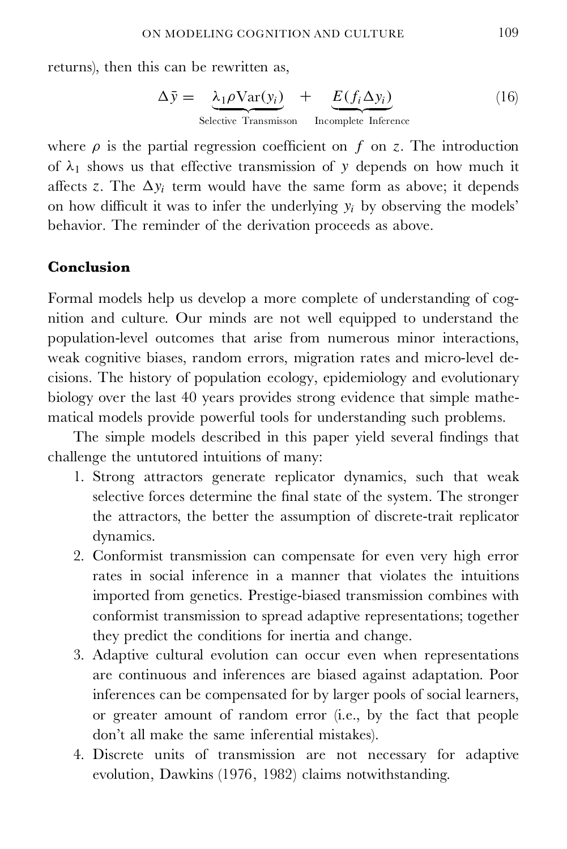returns), then this can be rewritten as,

$$
\Delta \bar{y} = \underbrace{\lambda_1 \rho \text{Var}(y_i)}_{\text{Selective Transmission}} + \underbrace{E(f_i \Delta y_i)}_{\text{Incomplete Inference}} \tag{16}
$$

where  $\rho$  is the partial regression coefficient on f on z. The introduction of  $\lambda_1$  shows us that effective transmission of y depends on how much it affects z. The  $\Delta y_i$  term would have the same form as above; it depends on how difficult it was to infer the underlying  $y_i$  by observing the models' behavior. The reminder of the derivation proceeds as above.

## **Conclusion**

Formal models help us develop a more complete of understanding of cog nition and culture. Our minds are not well equipped to understand the population-level outcomes that arise from numerous minor interactions, weak cognitive biases, random errors, migration rates and micro-level de cisions. The history of population ecology, epidemiology and evolutionary biology over the last 40 years provides strong evidence that simple mathe matical models provide powerful tools for understanding such problems.

The simple models described in this paper yield several findings that challenge the untutored intuitions of many:

- 1. Strong attractors generate replicator dynamics, such that weak selective forces determine the final state of the system. The stronger the attractors, the better the assumption of discrete-trait replicator dynamics.
- 2. Conformist transmission can compensate for even very high error rates in social inference in a manner that violates the intuitions imported from genetics. Prestige-biased transmission combines with conformist transmission to spread adaptive representations; together they predict the conditions for inertia and change.
- 3. Adaptive cultural evolution can occur even when representations are continuous and inferences are biased against adaptation. Poor inferences can be compensated for by larger pools of social learners, or greater amount of random error (i.e., by the fact that people don't all make the same inferential mistakes).
- 4. Discrete units of transmission are not necessary for adaptive evolution, Dawkins (1976, 1982) claims notwithstanding.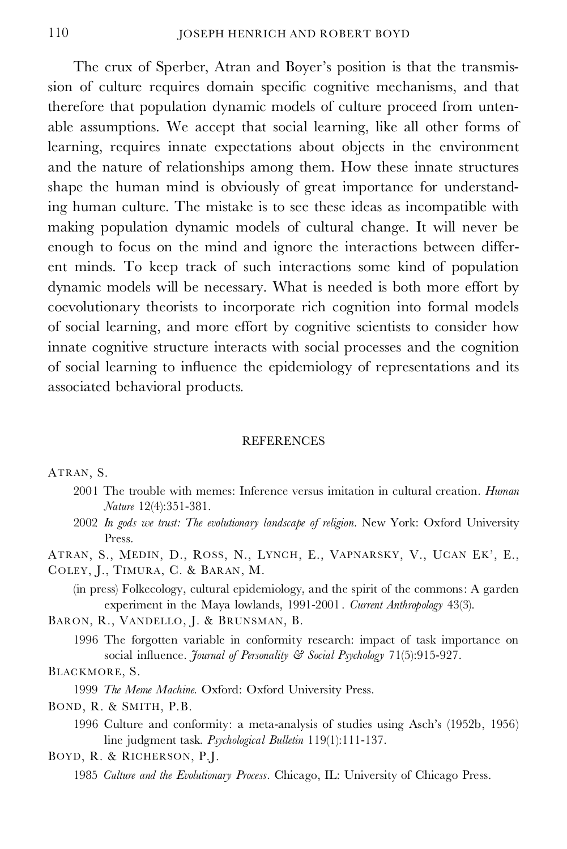The crux of Sperber, Atran and Boyer's position is that the transmission of culture requires domain specific cognitive mechanisms, and that therefore that population dynamic models of culture proceed from unten able assumptions. We accept that social learning, like all other forms of learning, requires innate expectations about objects in the environment and the nature of relationships among them. How these innate structures shape the human mind is obviously of great importance for understanding human culture. The mistake is to see these ideas as incompatible with making population dynamic models of cultural change. It will never be enough to focus on the mind and ignore the interactions between differ ent minds. To keep track of such interactions some kind of population dynamic models will be necessary. What is needed is both more effort by coevolutionary theorists to incorporate rich cognition into formal models of social learning, and more effort by cognitive scientists to consider how innate cognitive structure interacts with social processes and the cognition of social learning to influence the epidemiology of representations and its associated behavioral products.

#### **REFERENCES**

#### ATRAN, S.

- 2001 The trouble with memes: Inference versus imitation in cultural creation. *Human Nature* 12(4):351-381.
- 2002 *In gods we trust: The evolutionary landscape of religion*. New York: Oxford University Press.

ATRAN, S., MEDIN, D., ROSS, N., LYNCH, E., VAPNARSKY, V., UCAN EK', E.,

COLEY, J., TIMURA, C. & BARAN, M.

(in press) Folkecology, cultural epidemiology, and the spirit of the commons: A garden experiment in the Maya lowlands, 1991-2001 . *Current Anthropology* 43(3).

BARON, R., VANDELLO, J. & BRUNSMAN, B.

1996 The forgotten variable in conformity research: impact of task importance on social influence. *Journal of Personality* & Social Psychology 71(5):915-927.

#### BLACKMORE, S.

- 1999 *The Meme Machine.* Oxford: Oxford University Press.
- BOND, R. & SMITH, P.B.
	- 1996 Culture and conformity: a meta-analysis of studies using Asch's (1952b, 1956) line judgment task. *Psychological Bulletin* 119(1):111-137.
- BOYD, R. & RICHERSON, P.J.
	- 1985 *Culture and the Evolutionary Process.* Chicago, IL: University of Chicago Press.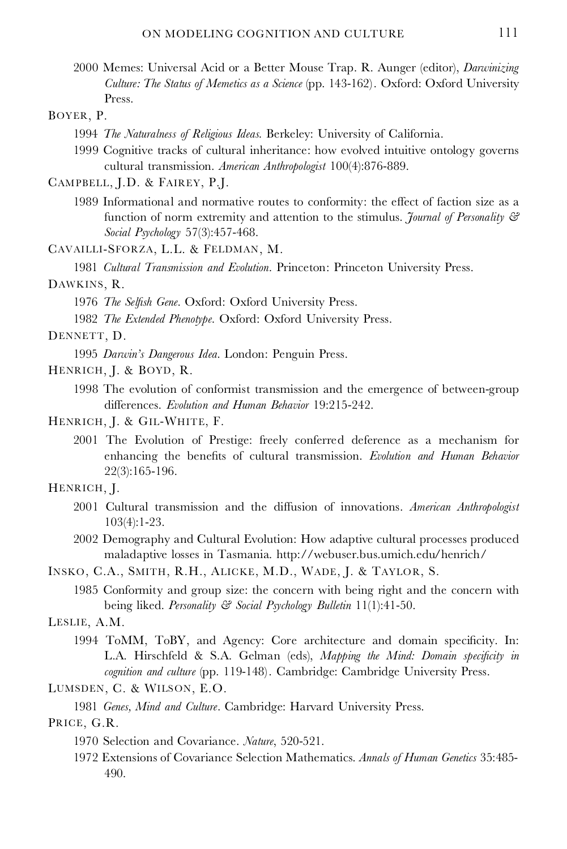2000 Memes: Universal Acid or a Better Mouse Trap. R. Aunger (editor), *Darwinizing Culture: The Status of Memetics as a Science* (pp. 143-162). Oxford: Oxford University Press.

#### BOYER, P.

- 1994 *The Naturalness of Religious Ideas.* Berkeley: University of California.
- 1999 Cognitive tracks of cultural inheritance: how evolved intuitive ontology governs cultural transmission. *American Anthropologist* 100(4):876-889.

CAMPBELL, J.D. & FAIREY, P.J.

1989 Informational and normative routes to conformity: the effect of faction size as a function of norm extremity and attention to the stimulus. *Journal of Personality & Social Psychology* 57(3):457-468.

CAVAILLI-SFORZA, L.L. & FELDMAN, M.

1981 *Cultural Transmission and Evolution.* Princeton: Princeton University Press.

#### DAWKINS, R.

1976 *The Selfish Gene.* Oxford: Oxford University Press.

1982 *The Extended Phenotype.* Oxford: Oxford University Press.

DENNETT, D.

1995 *Darwin's Dangerous Idea*. London: Penguin Press.

HENRICH, J. & BOYD, R.

1998 The evolution of conformist transmission and the emergence of between-group differences. *Evolution and Human Behavior* 19:215-242.

#### HENRICH, J. & GIL-WHITE, F.

2001 The Evolution of Prestige: freely conferred deference as a mechanism for enhancing the benets of cultural transmission. *Evolution and Human Behavior* 22(3):165-196.

#### HENRICH, J.

- 2001 Cultural transmission and the diffusion of innovations. *American Anthropologist* 103(4):1-23.
- 2002 Demography and Cultural Evolution: How adaptive cultural processes produced maladaptive losses in Tasmania. http://webuser.bus.umich.edu/henrich/

INSKO, C.A., SMITH, R.H., ALICKE, M.D., WADE, J. & TAYLOR, S.

1985 Conformity and group size: the concern with being right and the concern with being liked. *Personality & Social Psychology Bulletin* 11(1):41-50.

LESLIE, A.M.

1994 ToMM, ToBY, and Agency: Core architecture and domain specificity. In: L.A. Hirschfeld & S.A. Gelman (eds), *Mapping the Mind: Domain specicity in cognition and culture* (pp. 119-148). Cambridge: Cambridge University Press.

LUMSDEN, C. & WILSON, E.O.

1981 *Genes, Mind and Culture.* Cambridge: Harvard University Press.

PRICE, G.R.

1972 Extensions of Covariance Selection Mathematics. *Annals of Human Genetics* 35:485- 490.

<sup>1970</sup> Selection and Covariance. *Nature*, 520-521.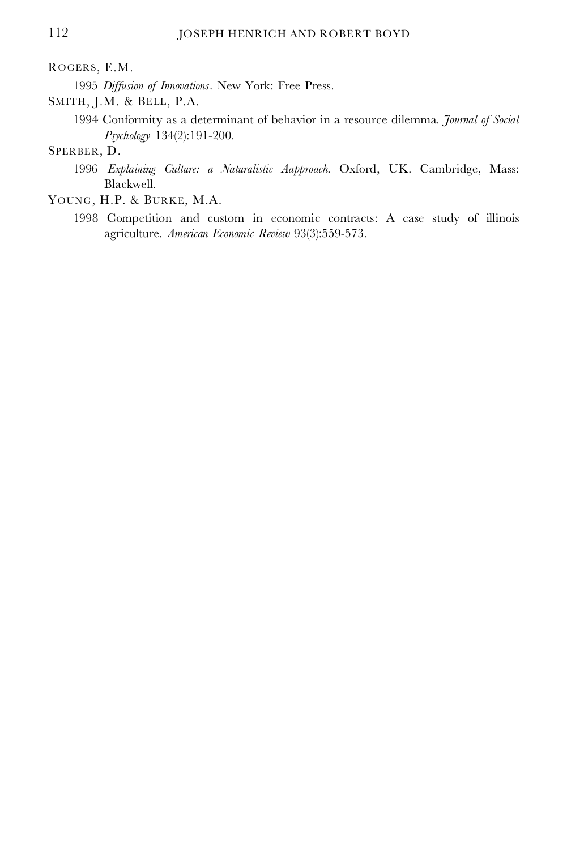### ROGERS, E.M.

1995 *Diffusion of Innovations.* New York: Free Press.

SMITH, J.M. & BELL, P.A.

1994 Conformity as a determinant of behavior in a resource dilemma. *Journal of Social Psychology* 134(2):191-200.

## SPERBER, D.

- 1996 *Explaining Culture: a Naturalistic Aapproach.* Oxford, UK. Cambridge, Mass: Blackwell.
- YOUNG, H.P. & BURKE, M.A.
	- 1998 Competition and custom in economic contracts: A case study of illinois agriculture. *American Economic Review* 93(3):559-573.